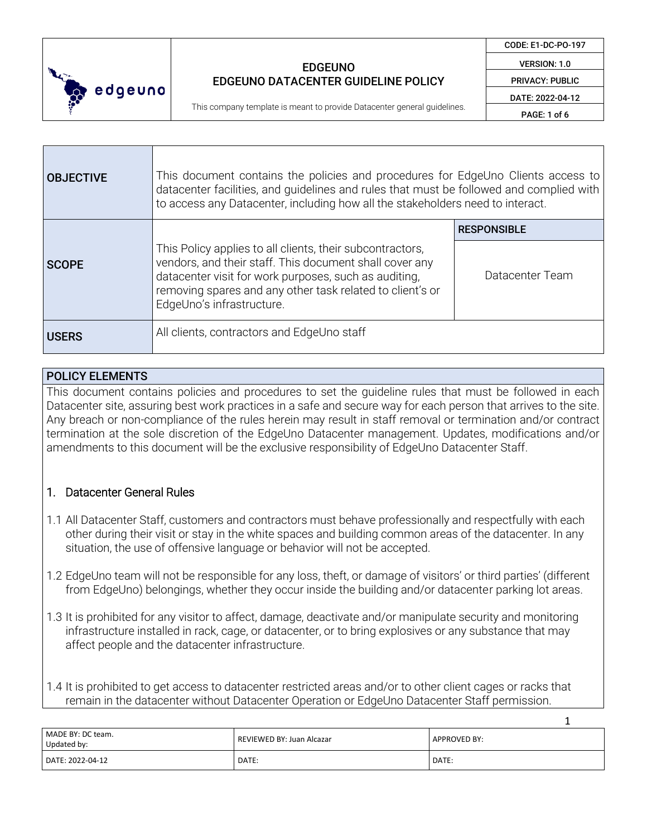

This company template is meant to provide Datacenter general guidelines.

CODE: E1-DC-PO-197

VERSION: 1.0

PRIVACY: PUBLIC DATE: 2022-04-12

PAGE: 1 of 6

| <b>OBJECTIVE</b> | This document contains the policies and procedures for EdgeUno Clients access to<br>datacenter facilities, and quidelines and rules that must be followed and complied with<br>to access any Datacenter, including how all the stakeholders need to interact.           |                                       |
|------------------|-------------------------------------------------------------------------------------------------------------------------------------------------------------------------------------------------------------------------------------------------------------------------|---------------------------------------|
| <b>SCOPE</b>     | This Policy applies to all clients, their subcontractors,<br>vendors, and their staff. This document shall cover any<br>datacenter visit for work purposes, such as auditing,<br>removing spares and any other task related to client's or<br>EdgeUno's infrastructure. | <b>RESPONSIBLE</b><br>Datacenter Team |
| <b>USERS</b>     | All clients, contractors and EdgeUno staff                                                                                                                                                                                                                              |                                       |

### POLICY ELEMENTS

This document contains policies and procedures to set the guideline rules that must be followed in each Datacenter site, assuring best work practices in a safe and secure way for each person that arrives to the site. Any breach or non-compliance of the rules herein may result in staff removal or termination and/or contract termination at the sole discretion of the EdgeUno Datacenter management. Updates, modifications and/or amendments to this document will be the exclusive responsibility of EdgeUno Datacenter Staff.

### 1. Datacenter General Rules

- 1.1 All Datacenter Staff, customers and contractors must behave professionally and respectfully with each other during their visit or stay in the white spaces and building common areas of the datacenter. In any situation, the use of offensive language or behavior will not be accepted.
- 1.2 EdgeUno team will not be responsible for any loss, theft, or damage of visitors' or third parties' (different from EdgeUno) belongings, whether they occur inside the building and/or datacenter parking lot areas.
- 1.3 It is prohibited for any visitor to affect, damage, deactivate and/or manipulate security and monitoring infrastructure installed in rack, cage, or datacenter, or to bring explosives or any substance that may affect people and the datacenter infrastructure.

1.4 It is prohibited to get access to datacenter restricted areas and/or to other client cages or racks that remain in the datacenter without Datacenter Operation or EdgeUno Datacenter Staff permission.

|                                  |                           | --           |
|----------------------------------|---------------------------|--------------|
| MADE BY: DC team.<br>Updated by: | REVIEWED BY: Juan Alcazar | APPROVED BY: |
| DATE: 2022-04-12                 | DATE:                     | DATE:        |

1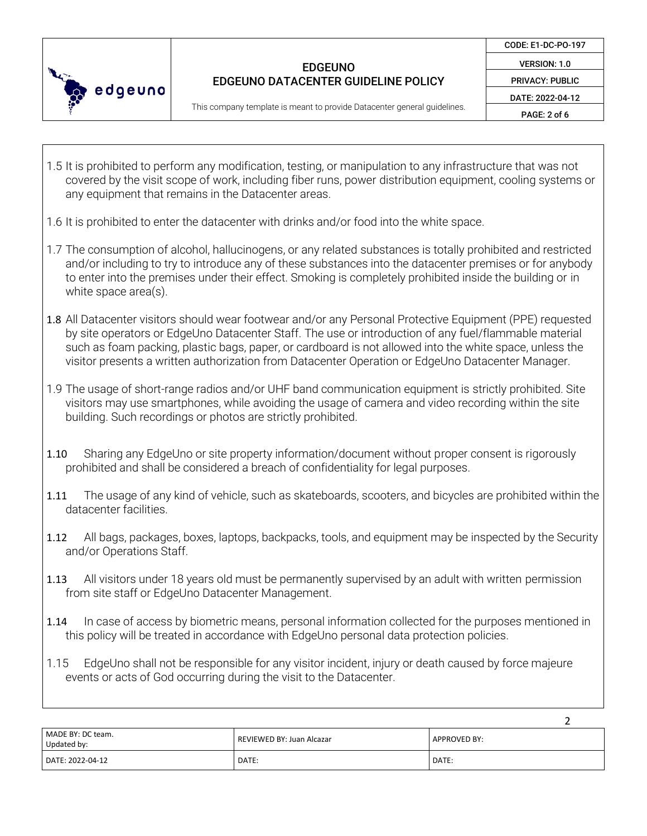

CODE: E1-DC-PO-197

VERSION: 1.0 PRIVACY: PUBLIC

DATE: 2022-04-12

This company template is meant to provide Datacenter general guidelines.

PAGE: 2 of 6

- 1.5 It is prohibited to perform any modification, testing, or manipulation to any infrastructure that was not covered by the visit scope of work, including fiber runs, power distribution equipment, cooling systems or any equipment that remains in the Datacenter areas.
- 1.6 It is prohibited to enter the datacenter with drinks and/or food into the white space.
- 1.7 The consumption of alcohol, hallucinogens, or any related substances is totally prohibited and restricted and/or including to try to introduce any of these substances into the datacenter premises or for anybody to enter into the premises under their effect. Smoking is completely prohibited inside the building or in white space area(s).
- 1.8 All Datacenter visitors should wear footwear and/or any Personal Protective Equipment (PPE) requested by site operators or EdgeUno Datacenter Staff. The use or introduction of any fuel/flammable material such as foam packing, plastic bags, paper, or cardboard is not allowed into the white space, unless the visitor presents a written authorization from Datacenter Operation or EdgeUno Datacenter Manager.
- 1.9 The usage of short-range radios and/or UHF band communication equipment is strictly prohibited. Site visitors may use smartphones, while avoiding the usage of camera and video recording within the site building. Such recordings or photos are strictly prohibited.
- 1.10 Sharing any EdgeUno or site property information/document without proper consent is rigorously prohibited and shall be considered a breach of confidentiality for legal purposes.
- 1.11 The usage of any kind of vehicle, such as skateboards, scooters, and bicycles are prohibited within the datacenter facilities.
- 1.12 All bags, packages, boxes, laptops, backpacks, tools, and equipment may be inspected by the Security and/or Operations Staff.
- 1.13 All visitors under 18 years old must be permanently supervised by an adult with written permission from site staff or EdgeUno Datacenter Management.
- 1.14 In case of access by biometric means, personal information collected for the purposes mentioned in this policy will be treated in accordance with EdgeUno personal data protection policies.
- 1.15 EdgeUno shall not be responsible for any visitor incident, injury or death caused by force majeure events or acts of God occurring during the visit to the Datacenter.

| MADE BY: DC team.<br>Updated by: | REVIEWED BY: Juan Alcazar | APPROVED BY: |
|----------------------------------|---------------------------|--------------|
| DATE: 2022-04-12                 | DATE:                     | DATE:        |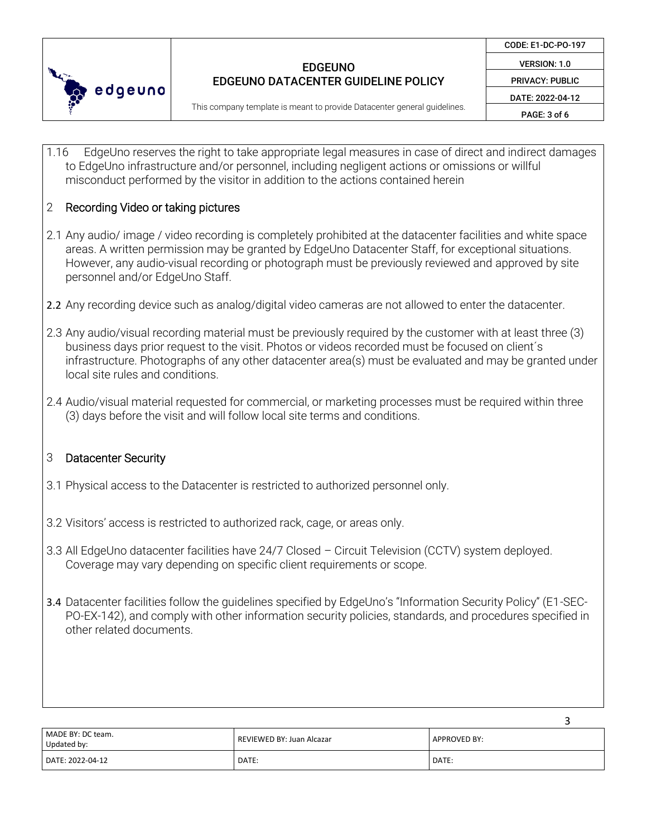

3

This company template is meant to provide Datacenter general guidelines.

1.16 EdgeUno reserves the right to take appropriate legal measures in case of direct and indirect damages to EdgeUno infrastructure and/or personnel, including negligent actions or omissions or willful misconduct performed by the visitor in addition to the actions contained herein

# 2 Recording Video or taking pictures

- 2.1 Any audio/ image / video recording is completely prohibited at the datacenter facilities and white space areas. A written permission may be granted by EdgeUno Datacenter Staff, for exceptional situations. However, any audio-visual recording or photograph must be previously reviewed and approved by site personnel and/or EdgeUno Staff.
- 2.2 Any recording device such as analog/digital video cameras are not allowed to enter the datacenter.
- 2.3 Any audio/visual recording material must be previously required by the customer with at least three (3) business days prior request to the visit. Photos or videos recorded must be focused on client´s infrastructure. Photographs of any other datacenter area(s) must be evaluated and may be granted under local site rules and conditions.
- 2.4 Audio/visual material requested for commercial, or marketing processes must be required within three (3) days before the visit and will follow local site terms and conditions.

### 3 Datacenter Security

- 3.1 Physical access to the Datacenter is restricted to authorized personnel only.
- 3.2 Visitors' access is restricted to authorized rack, cage, or areas only.
- 3.3 All EdgeUno datacenter facilities have 24/7 Closed Circuit Television (CCTV) system deployed. Coverage may vary depending on specific client requirements or scope.
- 3.4 Datacenter facilities follow the guidelines specified by EdgeUno's "Information Security Policy" (E1-SEC-PO-EX-142), and comply with other information security policies, standards, and procedures specified in other related documents.

|                                  |                           | ັ                   |
|----------------------------------|---------------------------|---------------------|
| MADE BY: DC team.<br>Updated by: | REVIEWED BY: Juan Alcazar | <b>APPROVED BY:</b> |
| DATE: 2022-04-12                 | DATE:                     | DATE:               |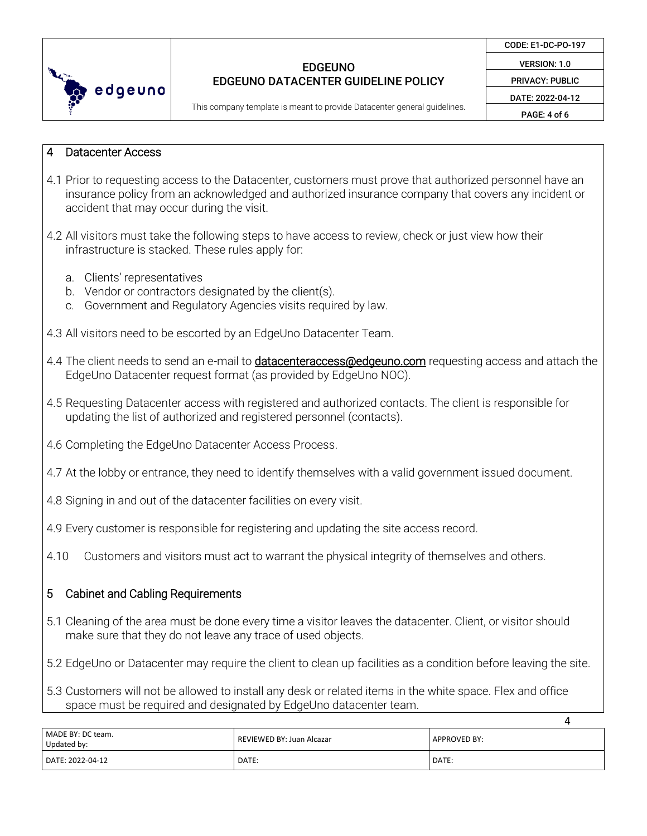

CODE: E1-DC-PO-197

VERSION: 1.0 PRIVACY: PUBLIC

DATE: 2022-04-12

This company template is meant to provide Datacenter general guidelines.

PAGE: 4 of 6

4

#### 4 Datacenter Access

- 4.1 Prior to requesting access to the Datacenter, customers must prove that authorized personnel have an insurance policy from an acknowledged and authorized insurance company that covers any incident or accident that may occur during the visit.
- 4.2 All visitors must take the following steps to have access to review, check or just view how their infrastructure is stacked. These rules apply for:
	- a. Clients' representatives
	- b. Vendor or contractors designated by the client(s).
	- c. Government and Regulatory Agencies visits required by law.
- 4.3 All visitors need to be escorted by an EdgeUno Datacenter Team.
- 4.4 The client needs to send an e-mail to **datacenteraccess@edgeuno.com** requesting access and attach the EdgeUno Datacenter request format (as provided by EdgeUno NOC).
- 4.5 Requesting Datacenter access with registered and authorized contacts. The client is responsible for updating the list of authorized and registered personnel (contacts).
- 4.6 Completing the EdgeUno Datacenter Access Process.
- 4.7 At the lobby or entrance, they need to identify themselves with a valid government issued document.
- 4.8 Signing in and out of the datacenter facilities on every visit.
- 4.9 Every customer is responsible for registering and updating the site access record.
- 4.10 Customers and visitors must act to warrant the physical integrity of themselves and others.

### 5 Cabinet and Cabling Requirements

- 5.1 Cleaning of the area must be done every time a visitor leaves the datacenter. Client, or visitor should make sure that they do not leave any trace of used objects.
- 5.2 EdgeUno or Datacenter may require the client to clean up facilities as a condition before leaving the site.
- 5.3 Customers will not be allowed to install any desk or related items in the white space. Flex and office space must be required and designated by EdgeUno datacenter team.

| MADE BY: DC team.<br>Updated by: | REVIEWED BY: Juan Alcazar | <b>APPROVED BY:</b> |
|----------------------------------|---------------------------|---------------------|
| DATE: 2022-04-12                 | DATE:                     | DATE:               |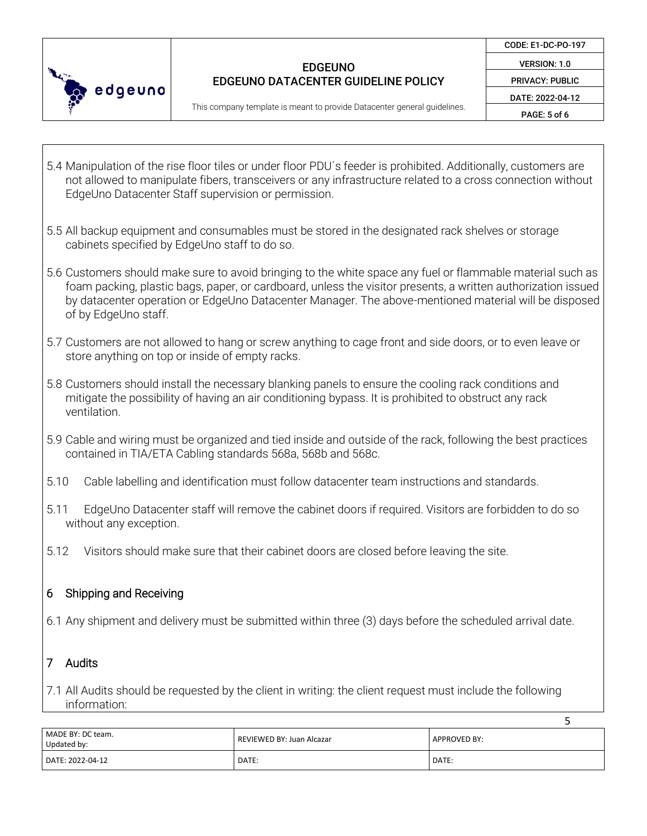

CODE: E1-DC-PO-197

VERSION: 1.0 PRIVACY: PUBLIC

DATE: 2022-04-12

This company template is meant to provide Datacenter general guidelines.

PAGE: 5 of 6

5

- 5.4 Manipulation of the rise floor tiles or under floor PDU´s feeder is prohibited. Additionally, customers are not allowed to manipulate fibers, transceivers or any infrastructure related to a cross connection without EdgeUno Datacenter Staff supervision or permission.
- 5.5 All backup equipment and consumables must be stored in the designated rack shelves or storage cabinets specified by EdgeUno staff to do so.
- 5.6 Customers should make sure to avoid bringing to the white space any fuel or flammable material such as foam packing, plastic bags, paper, or cardboard, unless the visitor presents, a written authorization issued by datacenter operation or EdgeUno Datacenter Manager. The above-mentioned material will be disposed of by EdgeUno staff.
- 5.7 Customers are not allowed to hang or screw anything to cage front and side doors, or to even leave or store anything on top or inside of empty racks.
- 5.8 Customers should install the necessary blanking panels to ensure the cooling rack conditions and mitigate the possibility of having an air conditioning bypass. It is prohibited to obstruct any rack ventilation.
- 5.9 Cable and wiring must be organized and tied inside and outside of the rack, following the best practices contained in TIA/ETA Cabling standards 568a, 568b and 568c.
- 5.10 Cable labelling and identification must follow datacenter team instructions and standards.
- 5.11 EdgeUno Datacenter staff will remove the cabinet doors if required. Visitors are forbidden to do so without any exception.
- 5.12 Visitors should make sure that their cabinet doors are closed before leaving the site.

# 6 Shipping and Receiving

6.1 Any shipment and delivery must be submitted within three (3) days before the scheduled arrival date.

# 7 Audits

7.1 All Audits should be requested by the client in writing: the client request must include the following information:

| MADE BY: DC team.<br>Updated by: | REVIEWED BY: Juan Alcazar | APPROVED BY: |
|----------------------------------|---------------------------|--------------|
| DATE: 2022-04-12                 | DATE:                     | DATE:        |